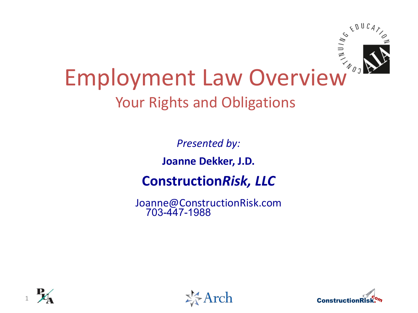

# Employment Law Overview Your Rights and Obligations

*Presented by:*

**Joanne Dekker, J.D.**

#### **Construction***Risk, LLC*

Joanne@ConstructionRisk.com 703-447-1988





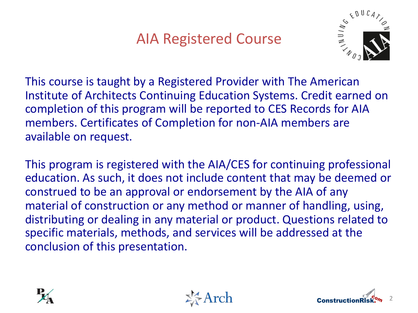#### AIA Registered Course



This course is taught by a Registered Provider with The American Institute of Architects Continuing Education Systems. Credit earned on completion of this program will be reported to CES Records for AIA members. Certificates of Completion for non-AIA members are available on request.

This program is registered with the AIA/CES for continuing professional education. As such, it does not include content that may be deemed or construed to be an approval or endorsement by the AIA of any material of construction or any method or manner of handling, using, distributing or dealing in any material or product. Questions related to specific materials, methods, and services will be addressed at the conclusion of this presentation.





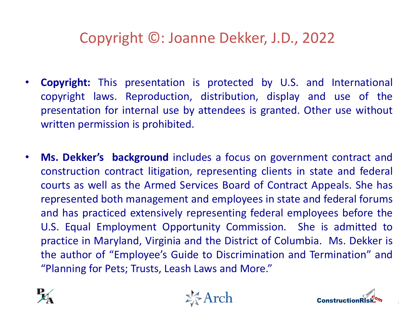#### Copyright ©: Joanne Dekker, J.D., 2022

- **Copyright:** This presentation is protected by U.S. and International copyright laws. Reproduction, distribution, display and use of the presentation for internal use by attendees is granted. Other use without written permission is prohibited.
- **Ms. Dekker's background** includes a focus on government contract and construction contract litigation, representing clients in state and federal courts as well as the Armed Services Board of Contract Appeals. She has represented both management and employees in state and federal forums and has practiced extensively representing federal employees before the U.S. Equal Employment Opportunity Commission. She is admitted to practice in Maryland, Virginia and the District of Columbia. Ms. Dekker is the author of "Employee's Guide to Discrimination and Termination" and "Planning for Pets; Trusts, Leash Laws and More."







3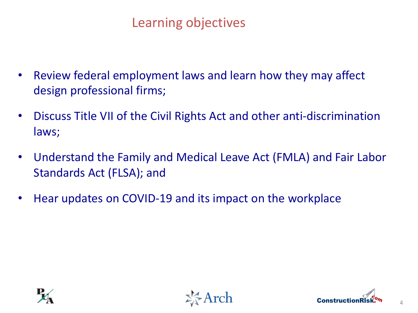#### Learning objectives

- Review federal employment laws and learn how they may affect design professional firms;
- Discuss Title VII of the Civil Rights Act and other anti-discrimination laws;
- Understand the Family and Medical Leave Act (FMLA) and Fair Labor Standards Act (FLSA); and
- Hear updates on COVID-19 and its impact on the workplace





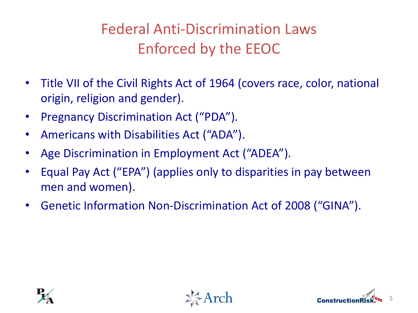### Federal Anti-Discrimination Laws Enforced by the EEOC

- Title VII of the Civil Rights Act of 1964 (covers race, color, national origin, religion and gender).
- Pregnancy Discrimination Act ("PDA").
- Americans with Disabilities Act ("ADA").
- Age Discrimination in Employment Act ("ADEA").
- Equal Pay Act ("EPA") (applies only to disparities in pay between men and women).
- Genetic Information Non-Discrimination Act of 2008 ("GINA").





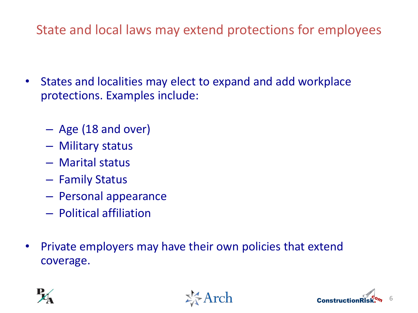State and local laws may extend protections for employees

- States and localities may elect to expand and add workplace protections. Examples include:
	- Age (18 and over)
	- Military status
	- Marital status
	- Family Status
	- Personal appearance
	- Political affiliation
- Private employers may have their own policies that extend coverage.





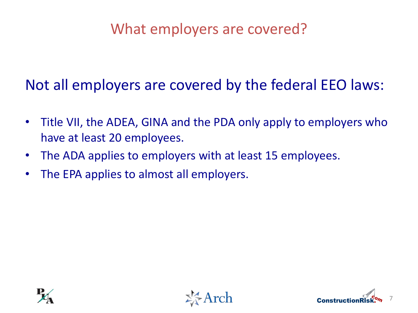#### What employers are covered?

Not all employers are covered by the federal EEO laws:

- Title VII, the ADEA, GINA and the PDA only apply to employers who have at least 20 employees.
- The ADA applies to employers with at least 15 employees.
- The EPA applies to almost all employers.





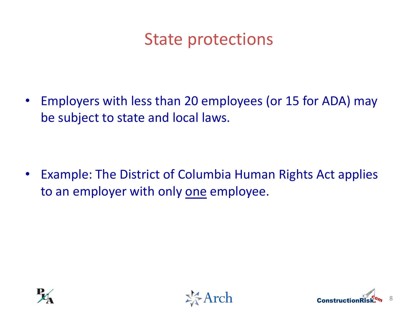### State protections

• Employers with less than 20 employees (or 15 for ADA) may be subject to state and local laws.

• Example: The District of Columbia Human Rights Act applies to an employer with only one employee.





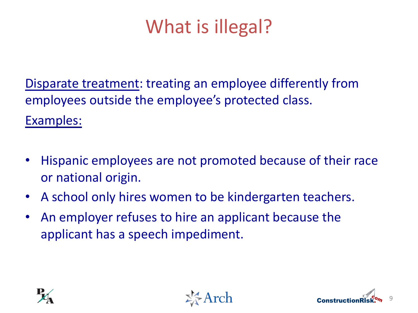### What is illegal?

Disparate treatment: treating an employee differently from employees outside the employee's protected class. Examples:

- Hispanic employees are not promoted because of their race or national origin.
- A school only hires women to be kindergarten teachers.
- An employer refuses to hire an applicant because the applicant has a speech impediment.





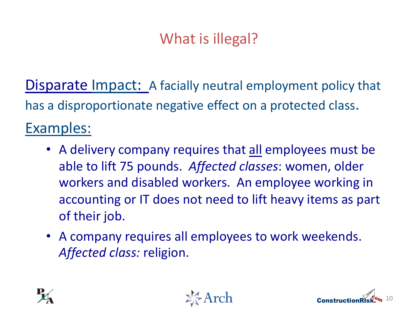#### What is illegal?

Disparate Impact: A facially neutral employment policy that has a disproportionate negative effect on a protected class. Examples:

- A delivery company requires that all employees must be able to lift 75 pounds. *Affected classes*: women, older workers and disabled workers. An employee working in accounting or IT does not need to lift heavy items as part of their job.
- A company requires all employees to work weekends. *Affected class:* religion.





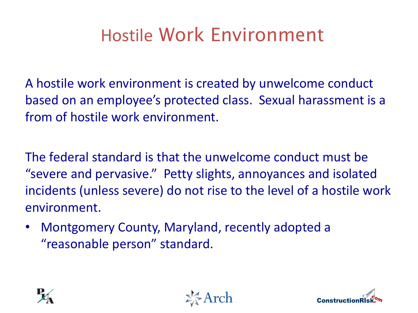### Hostile Work Environment

A hostile work environment is created by unwelcome conduct based on an employee's protected class. Sexual harassment is a from of hostile work environment.

The federal standard is that the unwelcome conduct must be "severe and pervasive." Petty slights, annoyances and isolated incidents (unless severe) do not rise to the level of a hostile work environment.

• Montgomery County, Maryland, recently adopted a "reasonable person" standard.





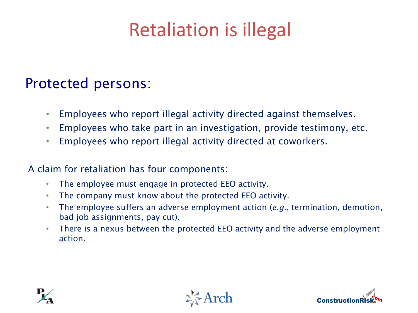### Retaliation is illegal

#### Protected persons:

- Employees who report illegal activity directed against themselves.
- Employees who take part in an investigation, provide testimony, etc.
- Employees who report illegal activity directed at coworkers.

#### A claim for retaliation has four components:

- The employee must engage in protected EEO activity.
- The company must know about the protected EEO activity.
- The employee suffers an adverse employment action (*e.g.*, termination, demotion, bad job assignments, pay cut).
- There is a nexus between the protected EEO activity and the adverse employment action.





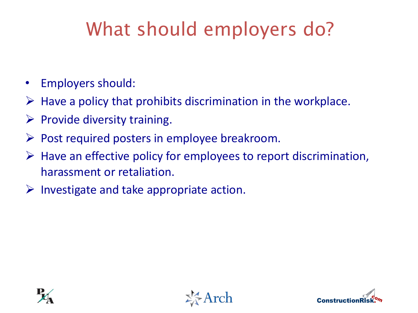### What should employers do?

- Employers should:
- $\triangleright$  Have a policy that prohibits discrimination in the workplace.
- $\triangleright$  Provide diversity training.
- $\triangleright$  Post required posters in employee breakroom.
- $\triangleright$  Have an effective policy for employees to report discrimination, harassment or retaliation.
- $\triangleright$  Investigate and take appropriate action.





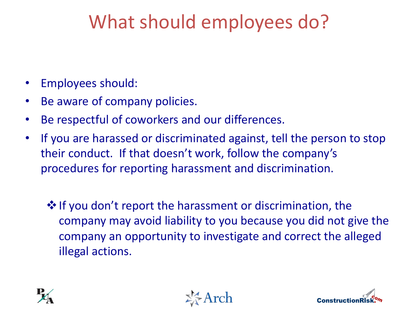### What should employees do?

- Employees should:
- Be aware of company policies.
- Be respectful of coworkers and our differences.
- If you are harassed or discriminated against, tell the person to stop their conduct. If that doesn't work, follow the company's procedures for reporting harassment and discrimination.
	- $\cdot$  If you don't report the harassment or discrimination, the company may avoid liability to you because you did not give the company an opportunity to investigate and correct the alleged illegal actions.





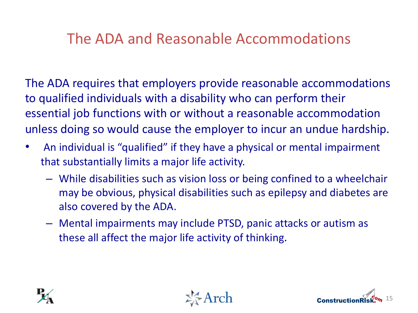#### The ADA and Reasonable Accommodations

The ADA requires that employers provide reasonable accommodations to qualified individuals with a disability who can perform their essential job functions with or without a reasonable accommodation unless doing so would cause the employer to incur an undue hardship.

- An individual is "qualified" if they have a physical or mental impairment that substantially limits a major life activity.
	- While disabilities such as vision loss or being confined to a wheelchair may be obvious, physical disabilities such as epilepsy and diabetes are also covered by the ADA.
	- Mental impairments may include PTSD, panic attacks or autism as these all affect the major life activity of thinking.





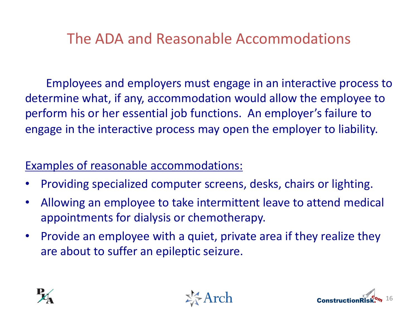#### The ADA and Reasonable Accommodations

Employees and employers must engage in an interactive process to determine what, if any, accommodation would allow the employee to perform his or her essential job functions. An employer's failure to engage in the interactive process may open the employer to liability.

#### Examples of reasonable accommodations:

- Providing specialized computer screens, desks, chairs or lighting.
- Allowing an employee to take intermittent leave to attend medical appointments for dialysis or chemotherapy.
- Provide an employee with a quiet, private area if they realize they are about to suffer an epileptic seizure.





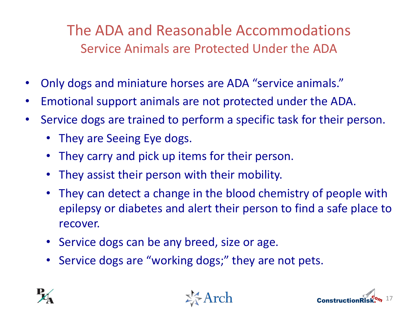The ADA and Reasonable Accommodations Service Animals are Protected Under the ADA

- Only dogs and miniature horses are ADA "service animals."
- Emotional support animals are not protected under the ADA.
- Service dogs are trained to perform a specific task for their person.
	- They are Seeing Eye dogs.
	- They carry and pick up items for their person.
	- They assist their person with their mobility.
	- They can detect a change in the blood chemistry of people with epilepsy or diabetes and alert their person to find a safe place to recover.
	- Service dogs can be any breed, size or age.
	- Service dogs are "working dogs;" they are not pets.





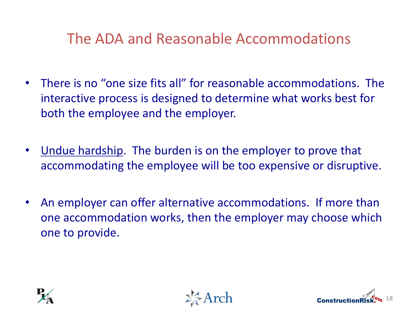#### The ADA and Reasonable Accommodations

- There is no "one size fits all" for reasonable accommodations. The interactive process is designed to determine what works best for both the employee and the employer.
- <u>Undue hardship</u>. The burden is on the employer to prove that accommodating the employee will be too expensive or disruptive.
- An employer can offer alternative accommodations. If more than one accommodation works, then the employer may choose which one to provide.





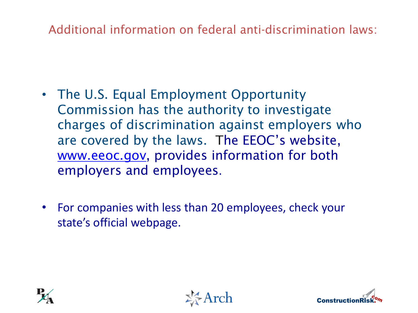Additional information on federal anti-discrimination la

- The U.S. Equal Employment Opportunity Commission has the authority to investigate charges of discrimination against employers wh are covered by the laws. The EEOC's website, www.eeoc.gov, provides information for both employers and employees.
- For companies with less than 20 employees, check your state's official webpage.



**Arch**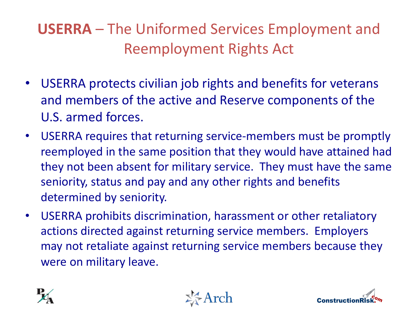### **USERRA** – The Uniformed Services Employment and Reemployment Rights Act

- USERRA protects civilian job rights and benefits for veterans and members of the active and Reserve components of the U.S. armed forces.
- USERRA requires that returning service-members must be promptly reemployed in the same position that they would have attained had they not been absent for military service. They must have the same seniority, status and pay and any other rights and benefits determined by seniority.
- USERRA prohibits discrimination, harassment or other retaliatory actions directed against returning service members. Employers may not retaliate against returning service members because they were on military leave.





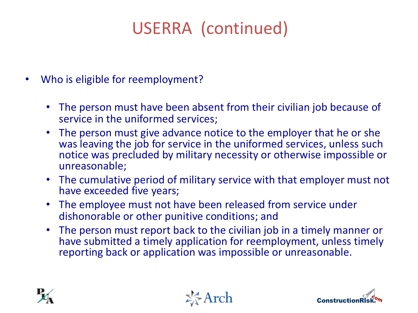### USERRA (continued)

- Who is eligible for reemployment?
	- The person must have been absent from their civilian job because of service in the uniformed services;
	- The person must give advance notice to the employer that he or she was leaving the job for service in the uniformed services, unless such notice was precluded by military necessity or otherwise impossible or unreasonable;
	- The cumulative period of military service with that employer must not have exceeded five years;
	- The employee must not have been released from service under dishonorable or other punitive conditions; and
	- The person must report back to the civilian job in a timely manner or have submitted a timely application for reemployment, unless timely reporting back or application was impossible or unreasonable.





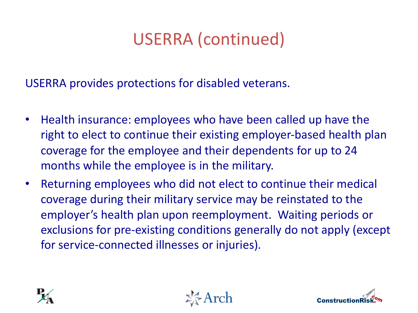### USERRA (continued)

USERRA provides protections for disabled veterans.

- Health insurance: employees who have been called up have the right to elect to continue their existing employer-based health plan coverage for the employee and their dependents for up to 24 months while the employee is in the military.
- Returning employees who did not elect to continue their medical coverage during their military service may be reinstated to the employer's health plan upon reemployment. Waiting periods or exclusions for pre-existing conditions generally do not apply (except for service-connected illnesses or injuries).





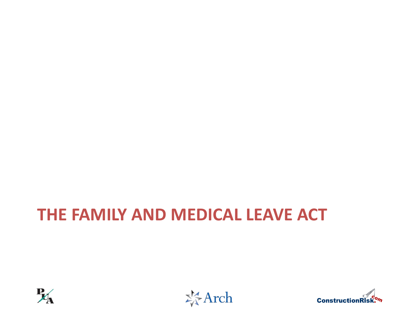### **THE FAMILY AND MEDICAL LEAVE ACT**





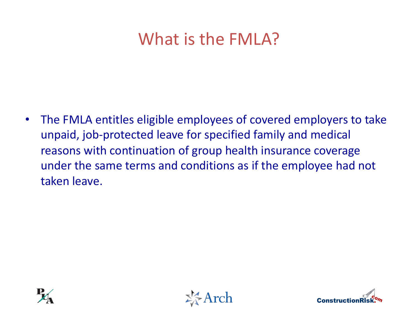### What is the FMLA?

• The FMLA entitles eligible employees of covered employers to take unpaid, job-protected leave for specified family and medical reasons with continuation of group health insurance coverage under the same terms and conditions as if the employee had not taken leave.





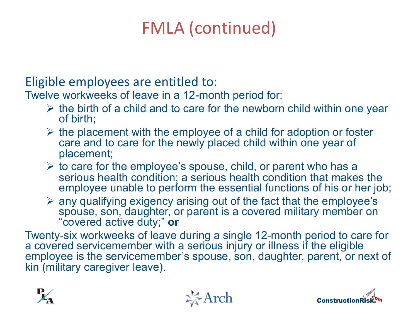### FMLA (continued)

Eligible employees are entitled to:

Twelve workweeks of leave in a 12-month period for:

- $\triangleright$  the birth of a child and to care for the newborn child within one year of birth;
- $\triangleright$  the placement with the employee of a child for adoption or foster care and to care for the newly placed child within one year of placement;
- $\triangleright$  to care for the employee's spouse, child, or parent who has a serious health condition; a serious health condition that makes the employee unable to perform the essential functions of his or her job;
- $\triangleright$  any qualifying exigency arising out of the fact that the employee's spouse, son, daughter, or parent is a covered military member on "covered active duty;" **or**

Twenty-six workweeks of leave during a single 12-month period to care for a covered servicemember with a serious injury or illness if the eligible employee is the servicemember's spouse, son, daughter, parent, or next of kin (military caregiver leave).





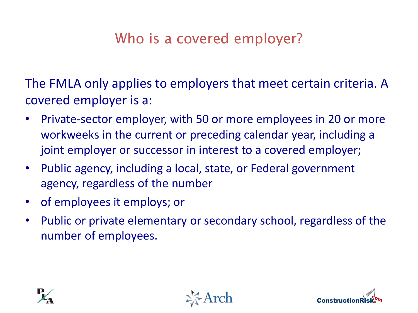#### Who is a covered employer?

The FMLA only applies to employers that meet certain criteria. A covered employer is a:

- Private-sector employer, with 50 or more employees in 20 or more workweeks in the current or preceding calendar year, including a joint employer or successor in interest to a covered employer;
- Public agency, including a local, state, or Federal government agency, regardless of the number
- of employees it employs; or
- Public or private elementary or secondary school, regardless of the number of employees.





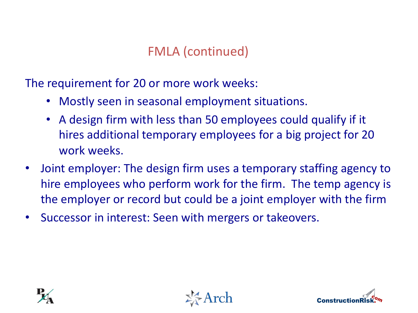#### FMLA (continued)

The requirement for 20 or more work weeks:

- Mostly seen in seasonal employment situations.
- A design firm with less than 50 employees could qualify if it hires additional temporary employees for a big project for 20 work weeks.
- Joint employer: The design firm uses a temporary staffing agency to hire employees who perform work for the firm. The temp agency is the employer or record but could be a joint employer with the firm
- Successor in interest: Seen with mergers or takeovers.





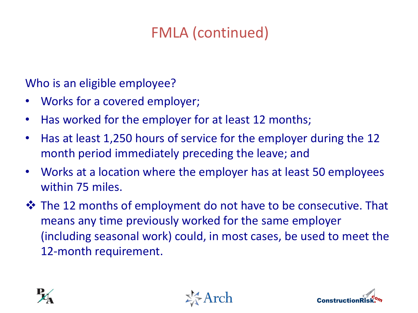#### FMLA (continued)

Who is an eligible employee?

- Works for a covered employer;
- Has worked for the employer for at least 12 months;
- Has at least 1,250 hours of service for the employer during the 12 month period immediately preceding the leave; and
- Works at a location where the employer has at least 50 employees within 75 miles.
- $\triangle$  The 12 months of employment do not have to be consecutive. That means any time previously worked for the same employer (including seasonal work) could, in most cases, be used to meet the 12-month requirement.





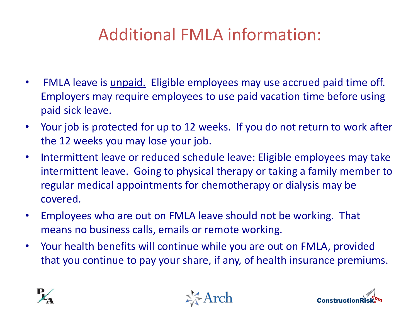### Additional FMLA information:

- FMLA leave is *unpaid*. Eligible employees may use accrued paid time off. Employers may require employees to use paid vacation time before using paid sick leave.
- Your job is protected for up to 12 weeks. If you do not return to work after the 12 weeks you may lose your job.
- Intermittent leave or reduced schedule leave: Eligible employees may take intermittent leave. Going to physical therapy or taking a family member to regular medical appointments for chemotherapy or dialysis may be covered.
- Employees who are out on FMLA leave should not be working. That means no business calls, emails or remote working.
- Your health benefits will continue while you are out on FMLA, provided that you continue to pay your share, if any, of health insurance premiums.





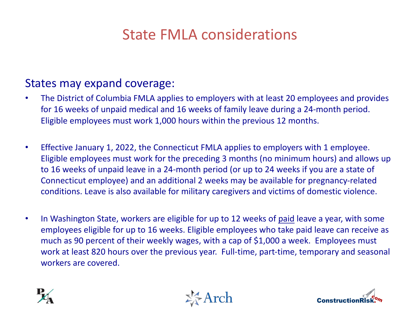#### State FMLA considerations

#### States may expand coverage:

- The District of Columbia FMLA applies to employers with at least 20 employees and provides for 16 weeks of unpaid medical and 16 weeks of family leave during a 24-month period. Eligible employees must work 1,000 hours within the previous 12 months.
- Effective January 1, 2022, the Connecticut FMLA applies to employers with 1 employee. Eligible employees must work for the preceding 3 months (no minimum hours) and allows up to 16 weeks of unpaid leave in a 24-month period (or up to 24 weeks if you are a state of Connecticut employee) and an additional 2 weeks may be available for pregnancy-related conditions. Leave is also available for military caregivers and victims of domestic violence.
- In Washington State, workers are eligible for up to 12 weeks of paid leave a year, with some employees eligible for up to 16 weeks. Eligible employees who take paid leave can receive as much as 90 percent of their weekly wages, with a cap of \$1,000 a week. Employees must work at least 820 hours over the previous year. Full-time, part-time, temporary and seasonal workers are covered.





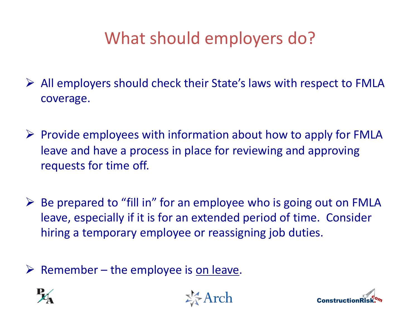### What should employers do?

- $\triangleright$  All employers should check their State's laws with respect to FMLA coverage.
- $\triangleright$  Provide employees with information about how to apply for FMLA leave and have a process in place for reviewing and approving requests for time off.
- $\triangleright$  Be prepared to "fill in" for an employee who is going out on FMLA leave, especially if it is for an extended period of time. Consider hiring a temporary employee or reassigning job duties.
- $\triangleright$  Remember the employee is on leave.





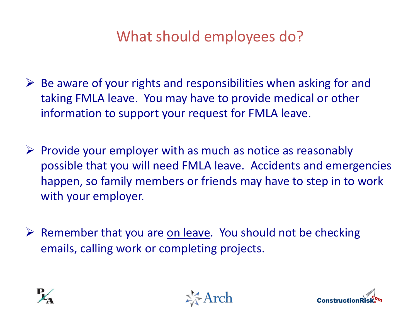#### What should employees do?

- $\triangleright$  Be aware of your rights and responsibilities when asking for and taking FMLA leave. You may have to provide medical or other information to support your request for FMLA leave.
- $\triangleright$  Provide your employer with as much as notice as reasonably possible that you will need FMLA leave. Accidents and emergencies happen, so family members or friends may have to step in to work with your employer.
- $\triangleright$  Remember that you are on leave. You should not be checking emails, calling work or completing projects.





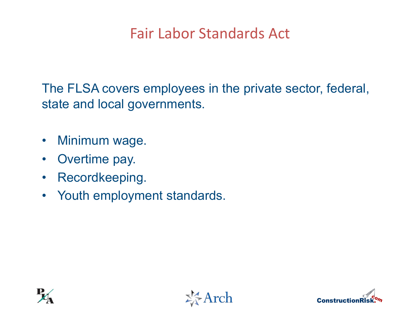#### Fair Labor Standards Act

The FLSA covers employees in the private sector, federal, state and local governments.

- Minimum wage.
- Overtime pay.
- Recordkeeping.
- Youth employment standards.





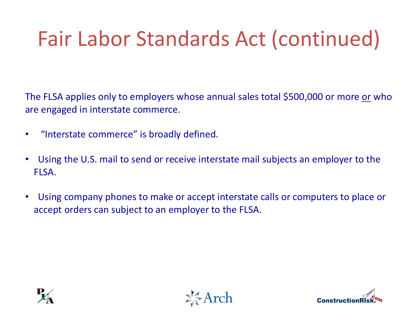## Fair Labor Standards Act (continued)

The FLSA applies only to employers whose annual sales total \$500,000 or more or who are engaged in interstate commerce.

- "Interstate commerce" is broadly defined.
- Using the U.S. mail to send or receive interstate mail subjects an employer to the FLSA.
- Using company phones to make or accept interstate calls or computers to place or accept orders can subject to an employer to the FLSA.





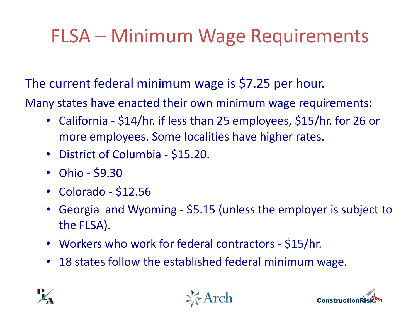### FLSA – Minimum Wage Requirements

The current federal minimum wage is \$7.25 per hour.

Many states have enacted their own minimum wage requirements:

- California \$14/hr. if less than 25 employees, \$15/hr. for 26 or more employees. Some localities have higher rates.
- District of Columbia \$15.20.
- Ohio \$9.30
- Colorado \$12.56
- Georgia and Wyoming \$5.15 (unless the employer is subject to the FLSA).
- Workers who work for federal contractors \$15/hr.
- 18 states follow the established federal minimum wage.





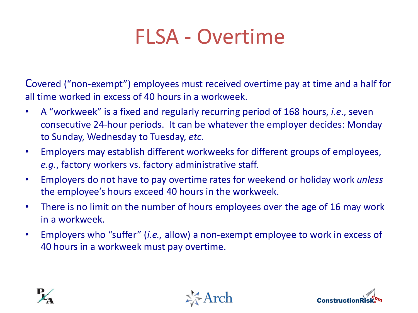### FLSA - Overtime

Covered ("non-exempt") employees must received overtime pay at time and a half for all time worked in excess of 40 hours in a workweek.

- A "workweek" is a fixed and regularly recurring period of 168 hours, *i.e*., seven consecutive 24-hour periods. It can be whatever the employer decides: Monday to Sunday, Wednesday to Tuesday, *etc.*
- Employers may establish different workweeks for different groups of employees, *e.g.*, factory workers vs. factory administrative staff.
- Employers do not have to pay overtime rates for weekend or holiday work *unless* the employee's hours exceed 40 hours in the workweek.
- There is no limit on the number of hours employees over the age of 16 may work in a workweek.
- Employers who "suffer" (*i.e.,* allow) a non-exempt employee to work in excess of 40 hours in a workweek must pay overtime.





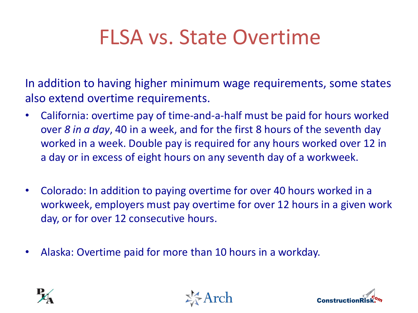## FLSA vs. State Overtime

In addition to having higher minimum wage requirements, some states also extend overtime requirements.

- California: overtime pay of time-and-a-half must be paid for hours worked over *8 in a day*, 40 in a week, and for the first 8 hours of the seventh day worked in a week. Double pay is required for any hours worked over 12 in a day or in excess of eight hours on any seventh day of a workweek.
- Colorado: In addition to paying overtime for over 40 hours worked in a workweek, employers must pay overtime for over 12 hours in a given work day, or for over 12 consecutive hours.
- Alaska: Overtime paid for more than 10 hours in a workday.





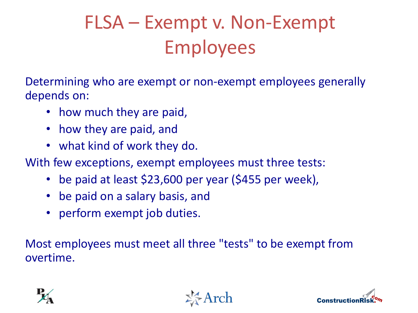## FLSA – Exempt v. Non-Exempt Employees

Determining who are exempt or non-exempt employees generally depends on:

- how much they are paid,
- how they are paid, and
- what kind of work they do.

With few exceptions, exempt employees must three tests:

- be paid at least \$23,600 per year (\$455 per week),
- be paid on a salary basis, and
- perform exempt job duties.

Most employees must meet all three "tests" to be exempt from overtime.





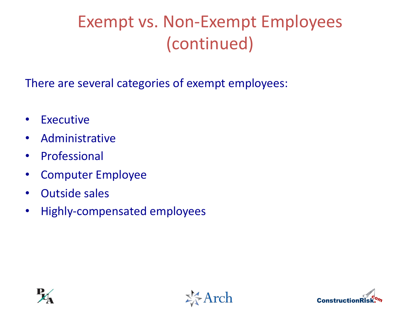### Exempt vs. Non-Exempt Employees (continued)

There are several categories of exempt employees:

- Executive
- Administrative
- Professional
- Computer Employee
- Outside sales
- Highly-compensated employees





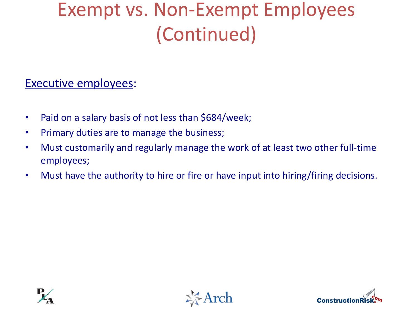### Exempt vs. Non-Exempt Employees (Continued)

#### Executive employees:

- Paid on a salary basis of not less than \$684/week;
- Primary duties are to manage the business;
- Must customarily and regularly manage the work of at least two other full-time employees;
- Must have the authority to hire or fire or have input into hiring/firing decisions.





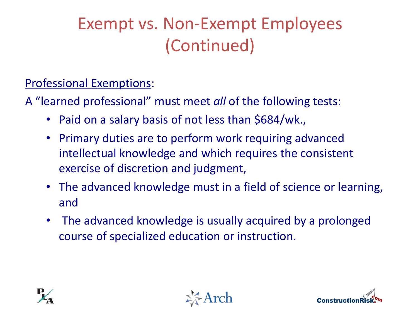### Exempt vs. Non-Exempt Employees (Continued)

Professional Exemptions:

A "learned professional" must meet *all* of the following tests:

- Paid on a salary basis of not less than \$684/wk.,
- Primary duties are to perform work requiring advanced intellectual knowledge and which requires the consistent exercise of discretion and judgment,
- The advanced knowledge must in a field of science or learning, and
- The advanced knowledge is usually acquired by a prolonged course of specialized education or instruction.





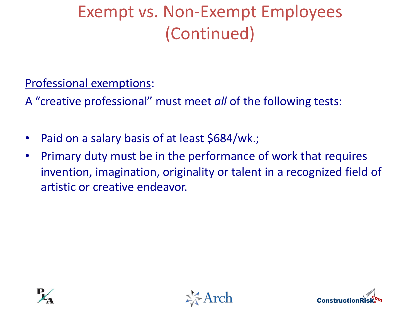### Exempt vs. Non-Exempt Employees (Continued)

Professional exemptions:

A "creative professional" must meet *all* of the following tests:

- Paid on a salary basis of at least \$684/wk.;
- Primary duty must be in the performance of work that requires invention, imagination, originality or talent in a recognized field of artistic or creative endeavor.





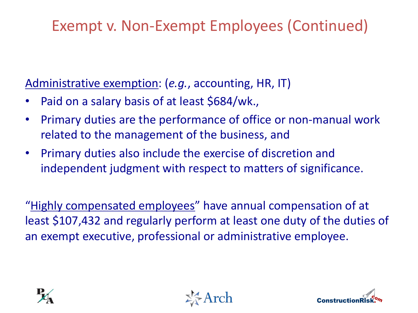#### Exempt v. Non-Exempt Employees (Continued)

Administrative exemption: (*e.g.*, accounting, HR, IT)

- Paid on a salary basis of at least \$684/wk.,
- Primary duties are the performance of office or non-manual work related to the management of the business, and
- Primary duties also include the exercise of discretion and independent judgment with respect to matters of significance.

"Highly compensated employees" have annual compensation of at least \$107,432 and regularly perform at least one duty of the duties of an exempt executive, professional or administrative employee.





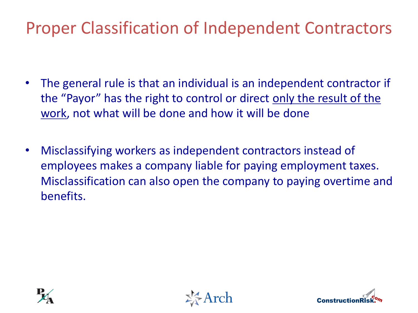### Proper Classification of Independent Contractors

- The general rule is that an individual is an independent contractor if the "Payor" has the right to control or direct only the result of the work, not what will be done and how it will be done
- Misclassifying workers as independent contractors instead of employees makes a company liable for paying employment taxes. Misclassification can also open the company to paying overtime and benefits.





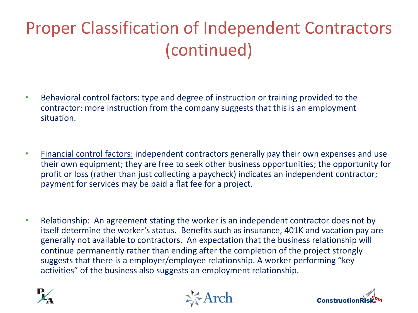### Proper Classification of Independent Contractors (continued)

- Behavioral control factors: type and degree of instruction or training provided to the contractor: more instruction from the company suggests that this is an employment situation.
- Financial control factors: independent contractors generally pay their own expenses and use their own equipment; they are free to seek other business opportunities; the opportunity for profit or loss (rather than just collecting a paycheck) indicates an independent contractor; payment for services may be paid a flat fee for a project.
- Relationship: An agreement stating the worker is an independent contractor does not by itself determine the worker's status. Benefits such as insurance, 401K and vacation pay are generally not available to contractors. An expectation that the business relationship will continue permanently rather than ending after the completion of the project strongly suggests that there is a employer/employee relationship. A worker performing "key activities" of the business also suggests an employment relationship.





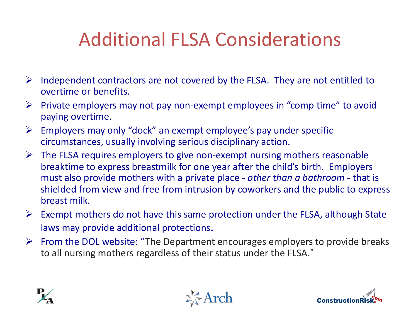### Additional FLSA Considerations

- $\triangleright$  Independent contractors are not covered by the FLSA. They are not entitled to overtime or benefits.
- $\triangleright$  Private employers may not pay non-exempt employees in "comp time" to avoid paying overtime.
- $\triangleright$  Employers may only "dock" an exempt employee's pay under specific circumstances, usually involving serious disciplinary action.
- $\triangleright$  The FLSA requires employers to give non-exempt nursing mothers reasonable breaktime to express breastmilk for one year after the child's birth. Employers must also provide mothers with a private place - *other than a bathroom -* that is shielded from view and free from intrusion by coworkers and the public to express breast milk.
- $\triangleright$  Exempt mothers do not have this same protection under the FLSA, although State laws may provide additional protections.
- $\triangleright$  From the DOL website: "The Department encourages employers to provide breaks to all nursing mothers regardless of their status under the FLSA."





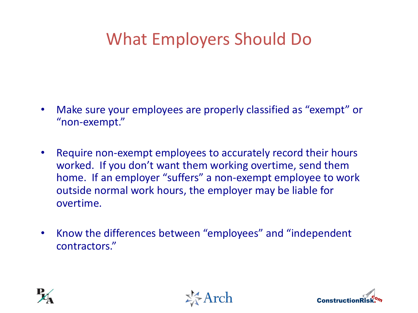### What Employers Should Do

- Make sure your employees are properly classified as "exempt" or "non-exempt."
- Require non-exempt employees to accurately record their hours worked. If you don't want them working overtime, send them home. If an employer "suffers" a non-exempt employee to work outside normal work hours, the employer may be liable for overtime.
- Know the differences between "employees" and "independent contractors."





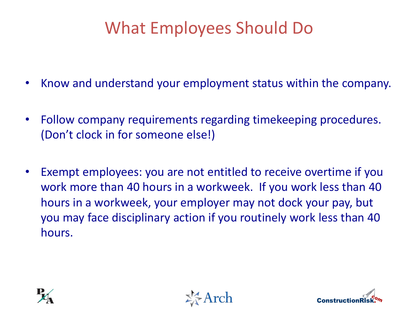### What Employees Should Do

- Know and understand your employment status within the company.
- Follow company requirements regarding timekeeping procedures. (Don't clock in for someone else!)
- Exempt employees: you are not entitled to receive overtime if you work more than 40 hours in a workweek. If you work less than 40 hours in a workweek, your employer may not dock your pay, but you may face disciplinary action if you routinely work less than 40 hours.





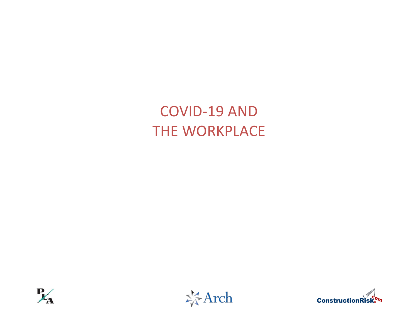#### COVID-19 AND THE WORKPLACE





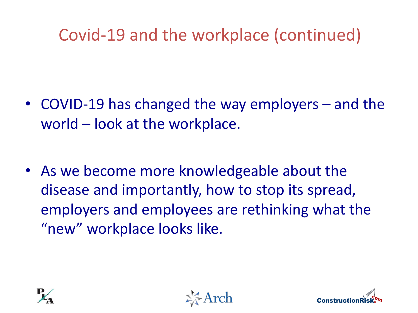### Covid-19 and the workplace (continued)

- COVID-19 has changed the way employers and the world – look at the workplace.
- As we become more knowledgeable about the disease and importantly, how to stop its spread, employers and employees are rethinking what the "new" workplace looks like.





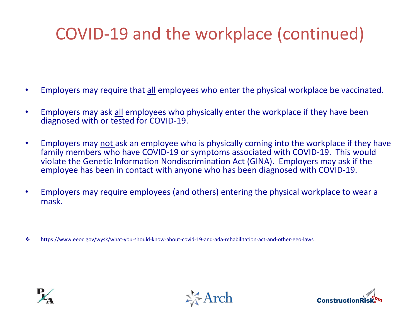### COVID-19 and the workplace (continued)

- Employers may require that all employees who enter the physical workplace be vaccinated.
- Employers may ask all employees who physically enter the workplace if they have been diagnosed with or tested for COVID-19.
- Employers may not ask an employee who is physically coming into the workplace if they have family members who have COVID-19 or symptoms associated with COVID-19. This would violate the Genetic Information Nondiscrimination Act (GINA). Employers may ask if the employee has been in contact with anyone who has been diagnosed with COVID-19.
- Employers may require employees (and others) entering the physical workplace to wear a mask.

v https://www.eeoc.gov/wysk/what-you-should-know-about-covid-19-and-ada-rehabilitation-act-and-other-eeo-laws





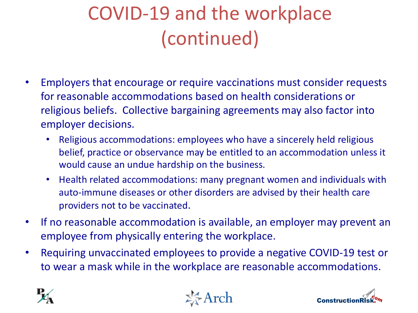## COVID-19 and the workplace (continued)

- Employers that encourage or require vaccinations must consider requests for reasonable accommodations based on health considerations or religious beliefs. Collective bargaining agreements may also factor into employer decisions.
	- Religious accommodations: employees who have a sincerely held religious belief, practice or observance may be entitled to an accommodation unless it would cause an undue hardship on the business.
	- Health related accommodations: many pregnant women and individuals with auto-immune diseases or other disorders are advised by their health care providers not to be vaccinated.
- If no reasonable accommodation is available, an employer may prevent an employee from physically entering the workplace.
- Requiring unvaccinated employees to provide a negative COVID-19 test or to wear a mask while in the workplace are reasonable accommodations.





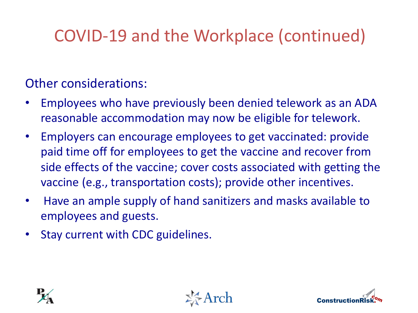### COVID-19 and the Workplace (continued)

#### Other considerations:

- Employees who have previously been denied telework as an ADA reasonable accommodation may now be eligible for telework.
- Employers can encourage employees to get vaccinated: provide paid time off for employees to get the vaccine and recover from side effects of the vaccine; cover costs associated with getting the vaccine (e.g., transportation costs); provide other incentives.
- Have an ample supply of hand sanitizers and masks available to employees and guests.
- Stay current with CDC guidelines.





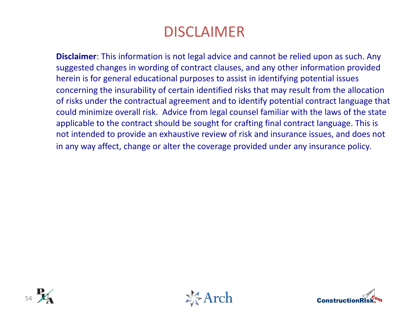#### DISCLAIMER

**Disclaimer**: This information is not legal advice and cannot be relied upon as such. Any suggested changes in wording of contract clauses, and any other information provided herein is for general educational purposes to assist in identifying potential issues concerning the insurability of certain identified risks that may result from the allocation of risks under the contractual agreement and to identify potential contract language that could minimize overall risk. Advice from legal counsel familiar with the laws of the state applicable to the contract should be sought for crafting final contract language. This is not intended to provide an exhaustive review of risk and insurance issues, and does not in any way affect, change or alter the coverage provided under any insurance policy.